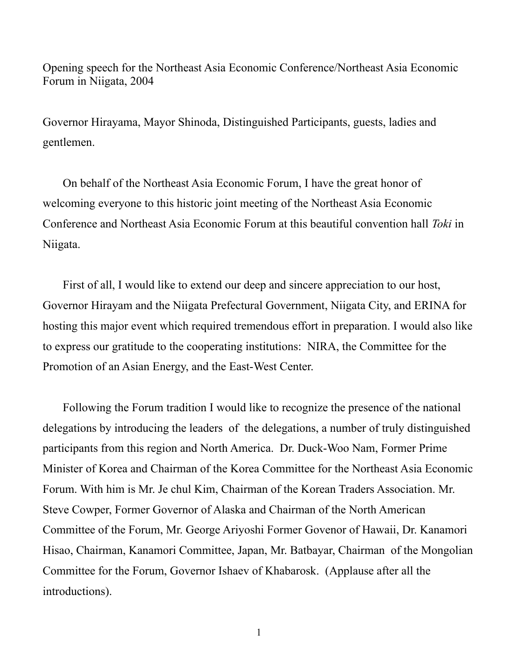Opening speech for the Northeast Asia Economic Conference/Northeast Asia Economic Forum in Niigata, 2004

Governor Hirayama, Mayor Shinoda, Distinguished Participants, guests, ladies and gentlemen.

On behalf of the Northeast Asia Economic Forum, I have the great honor of welcoming everyone to this historic joint meeting of the Northeast Asia Economic Conference and Northeast Asia Economic Forum at this beautiful convention hall *Toki* in Niigata.

First of all, I would like to extend our deep and sincere appreciation to our host, Governor Hirayam and the Niigata Prefectural Government, Niigata City, and ERINA for hosting this major event which required tremendous effort in preparation. I would also like to express our gratitude to the cooperating institutions: NIRA, the Committee for the Promotion of an Asian Energy, and the East-West Center.

Following the Forum tradition I would like to recognize the presence of the national delegations by introducing the leaders of the delegations, a number of truly distinguished participants from this region and North America. Dr. Duck-Woo Nam, Former Prime Minister of Korea and Chairman of the Korea Committee for the Northeast Asia Economic Forum. With him is Mr. Je chul Kim, Chairman of the Korean Traders Association. Mr. Steve Cowper, Former Governor of Alaska and Chairman of the North American Committee of the Forum, Mr. George Ariyoshi Former Govenor of Hawaii, Dr. Kanamori Hisao, Chairman, Kanamori Committee, Japan, Mr. Batbayar, Chairman of the Mongolian Committee for the Forum, Governor Ishaev of Khabarosk. (Applause after all the introductions).

1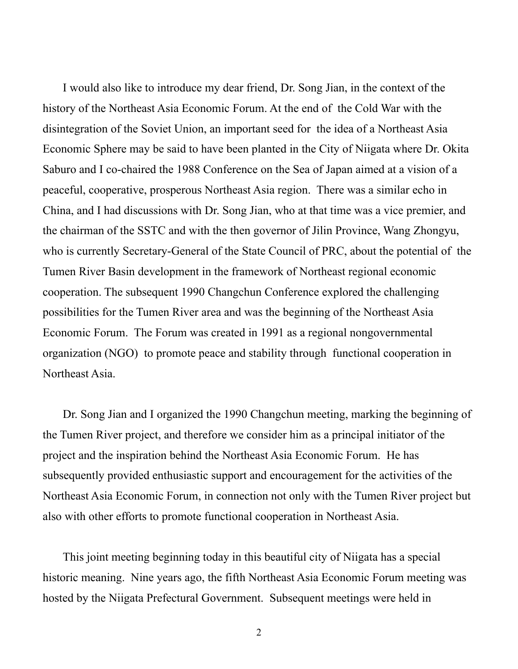I would also like to introduce my dear friend, Dr. Song Jian, in the context of the history of the Northeast Asia Economic Forum. At the end of the Cold War with the disintegration of the Soviet Union, an important seed for the idea of a Northeast Asia Economic Sphere may be said to have been planted in the City of Niigata where Dr. Okita Saburo and I co-chaired the 1988 Conference on the Sea of Japan aimed at a vision of a peaceful, cooperative, prosperous Northeast Asia region. There was a similar echo in China, and I had discussions with Dr. Song Jian, who at that time was a vice premier, and the chairman of the SSTC and with the then governor of Jilin Province, Wang Zhongyu, who is currently Secretary-General of the State Council of PRC, about the potential of the Tumen River Basin development in the framework of Northeast regional economic cooperation. The subsequent 1990 Changchun Conference explored the challenging possibilities for the Tumen River area and was the beginning of the Northeast Asia Economic Forum. The Forum was created in 1991 as a regional nongovernmental organization (NGO) to promote peace and stability through functional cooperation in Northeast Asia.

Dr. Song Jian and I organized the 1990 Changchun meeting, marking the beginning of the Tumen River project, and therefore we consider him as a principal initiator of the project and the inspiration behind the Northeast Asia Economic Forum. He has subsequently provided enthusiastic support and encouragement for the activities of the Northeast Asia Economic Forum, in connection not only with the Tumen River project but also with other efforts to promote functional cooperation in Northeast Asia.

This joint meeting beginning today in this beautiful city of Niigata has a special historic meaning. Nine years ago, the fifth Northeast Asia Economic Forum meeting was hosted by the Niigata Prefectural Government. Subsequent meetings were held in

2